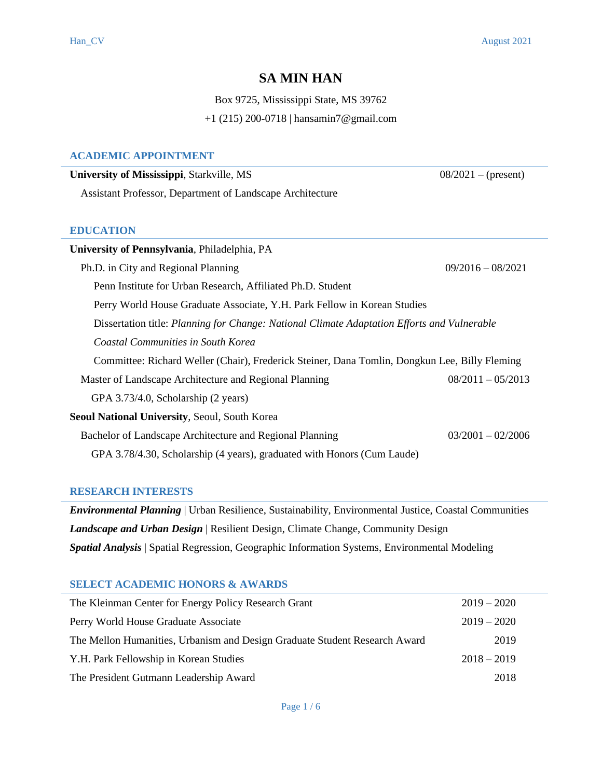# **SA MIN HAN**

Box 9725, Mississippi State, MS 39762 +1 (215) 200-0718 | hansamin7@gmail.com

## **ACADEMIC APPOINTMENT**

| University of Mississippi, Starkville, MS                                                     | $08/2021 - (present)$ |
|-----------------------------------------------------------------------------------------------|-----------------------|
| Assistant Professor, Department of Landscape Architecture                                     |                       |
|                                                                                               |                       |
| <b>EDUCATION</b>                                                                              |                       |
| University of Pennsylvania, Philadelphia, PA                                                  |                       |
| Ph.D. in City and Regional Planning                                                           | $09/2016 - 08/2021$   |
| Penn Institute for Urban Research, Affiliated Ph.D. Student                                   |                       |
| Perry World House Graduate Associate, Y.H. Park Fellow in Korean Studies                      |                       |
| Dissertation title: Planning for Change: National Climate Adaptation Efforts and Vulnerable   |                       |
| Coastal Communities in South Korea                                                            |                       |
| Committee: Richard Weller (Chair), Frederick Steiner, Dana Tomlin, Dongkun Lee, Billy Fleming |                       |
| Master of Landscape Architecture and Regional Planning                                        | $08/2011 - 05/2013$   |
| GPA 3.73/4.0, Scholarship (2 years)                                                           |                       |
| <b>Seoul National University, Seoul, South Korea</b>                                          |                       |
| Bachelor of Landscape Architecture and Regional Planning                                      | $03/2001 - 02/2006$   |
| GPA 3.78/4.30, Scholarship (4 years), graduated with Honors (Cum Laude)                       |                       |
|                                                                                               |                       |

# **RESEARCH INTERESTS**

*Environmental Planning* | Urban Resilience, Sustainability, Environmental Justice, Coastal Communities *Landscape and Urban Design* | Resilient Design, Climate Change, Community Design *Spatial Analysis* | Spatial Regression, Geographic Information Systems, Environmental Modeling

# **SELECT ACADEMIC HONORS & AWARDS**

| The Kleinman Center for Energy Policy Research Grant                       | $2019 - 2020$ |
|----------------------------------------------------------------------------|---------------|
| Perry World House Graduate Associate                                       | $2019 - 2020$ |
| The Mellon Humanities, Urbanism and Design Graduate Student Research Award | 2019          |
| Y.H. Park Fellowship in Korean Studies                                     | $2018 - 2019$ |
| The President Gutmann Leadership Award                                     | 2018          |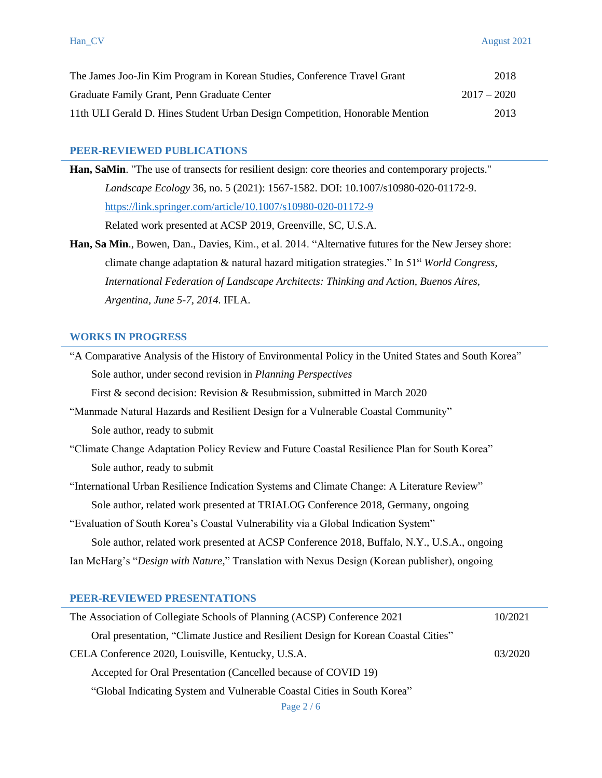| The James Joo-Jin Kim Program in Korean Studies, Conference Travel Grant     | 2018          |
|------------------------------------------------------------------------------|---------------|
| Graduate Family Grant, Penn Graduate Center                                  | $2017 - 2020$ |
| 11th ULI Gerald D. Hines Student Urban Design Competition, Honorable Mention | 2013          |

#### **PEER-REVIEWED PUBLICATIONS**

**PEER-REVIEWED PUBLICATIONS**<br>**Han, SaMin**. "The use of transects for resilient design: core theories and contemporary projects." *Landscape Ecology* 36, no. 5 (2021): 1567-1582. DOI: 10.1007/s10980-020-01172-9. <https://link.springer.com/article/10.1007/s10980-020-01172-9>

Related work presented at ACSP 2019, Greenville, SC, U.S.A.

**Han, Sa Min**., Bowen, Dan., Davies, Kim., et al. 2014. "Alternative futures for the New Jersey shore: climate change adaptation & natural hazard mitigation strategies." In 51st *World Congress, International Federation of Landscape Architects: Thinking and Action, Buenos Aires, Argentina, June 5-7, 2014.* IFLA.

#### **WORKS IN PROGRESS**

"A Comparative Analysis of the History of Environmental Policy in the United States and South Korea" Sole author, under second revision in *Planning Perspectives* 

First & second decision: Revision & Resubmission, submitted in March 2020

- "Manmade Natural Hazards and Resilient Design for a Vulnerable Coastal Community" Sole author, ready to submit
- "Climate Change Adaptation Policy Review and Future Coastal Resilience Plan for South Korea" Sole author, ready to submit

"International Urban Resilience Indication Systems and Climate Change: A Literature Review" Sole author, related work presented at TRIALOG Conference 2018, Germany, ongoing

"Evaluation of South Korea's Coastal Vulnerability via a Global Indication System"

Sole author, related work presented at ACSP Conference 2018, Buffalo, N.Y., U.S.A., ongoing

Ian McHarg's "*Design with Nature,*" Translation with Nexus Design (Korean publisher), ongoing

#### **PEER-REVIEWED PRESENTATIONS**

| The Association of Collegiate Schools of Planning (ACSP) Conference 2021            | 10/2021 |
|-------------------------------------------------------------------------------------|---------|
| Oral presentation, "Climate Justice and Resilient Design for Korean Coastal Cities" |         |
| CELA Conference 2020, Louisville, Kentucky, U.S.A.                                  | 03/2020 |
| Accepted for Oral Presentation (Cancelled because of COVID 19)                      |         |
| "Global Indicating System and Vulnerable Coastal Cities in South Korea"             |         |
|                                                                                     |         |

Page 2 / 6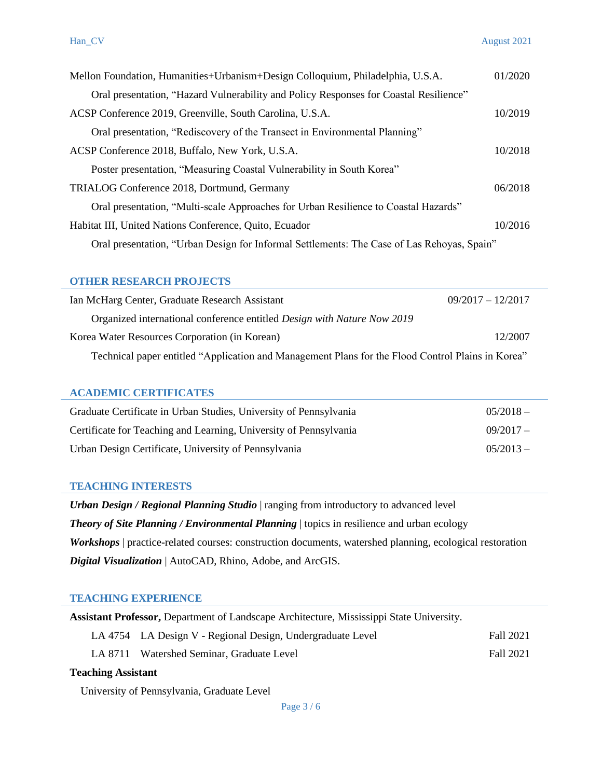| Mellon Foundation, Humanities+Urbanism+Design Colloquium, Philadelphia, U.S.A.             | 01/2020 |
|--------------------------------------------------------------------------------------------|---------|
| Oral presentation, "Hazard Vulnerability and Policy Responses for Coastal Resilience"      |         |
| ACSP Conference 2019, Greenville, South Carolina, U.S.A.                                   | 10/2019 |
| Oral presentation, "Rediscovery of the Transect in Environmental Planning"                 |         |
| ACSP Conference 2018, Buffalo, New York, U.S.A.                                            | 10/2018 |
| Poster presentation, "Measuring Coastal Vulnerability in South Korea"                      |         |
| TRIALOG Conference 2018, Dortmund, Germany                                                 | 06/2018 |
| Oral presentation, "Multi-scale Approaches for Urban Resilience to Coastal Hazards"        |         |
| Habitat III, United Nations Conference, Quito, Ecuador                                     | 10/2016 |
| Oral presentation, "Urban Design for Informal Settlements: The Case of Las Rehoyas, Spain" |         |

# **OTHER RESEARCH PROJECTS**

| Ian McHarg Center, Graduate Research Assistant                                                    | $09/2017 - 12/2017$ |
|---------------------------------------------------------------------------------------------------|---------------------|
| Organized international conference entitled Design with Nature Now 2019                           |                     |
| Korea Water Resources Corporation (in Korean)                                                     | 12/2007             |
| Technical paper entitled "Application and Management Plans for the Flood Control Plains in Korea" |                     |

#### **ACADEMIC CERTIFICATES**

| Graduate Certificate in Urban Studies, University of Pennsylvania | $0.5/2018 -$ |
|-------------------------------------------------------------------|--------------|
| Certificate for Teaching and Learning, University of Pennsylvania | $09/2017-$   |
| Urban Design Certificate, University of Pennsylvania              | $0.5/2013 -$ |

### **TEACHING INTERESTS**

 *Urban Design / Regional Planning Studio* | ranging from introductory to advanced level **Theory of Site Planning / Environmental Planning** | topics in resilience and urban ecology *Workshops* | practice-related courses: construction documents, watershed planning, ecological restoration *Digital Visualization* | AutoCAD, Rhino, Adobe, and ArcGIS.

#### **TEACHING EXPERIENCE**

|                           | <b>Assistant Professor, Department of Landscape Architecture, Mississippi State University.</b> |           |
|---------------------------|-------------------------------------------------------------------------------------------------|-----------|
|                           | LA 4754 LA Design V - Regional Design, Undergraduate Level                                      | Fall 2021 |
|                           | LA 8711 Watershed Seminar, Graduate Level                                                       | Fall 2021 |
| <b>Teaching Assistant</b> |                                                                                                 |           |

University of Pennsylvania, Graduate Level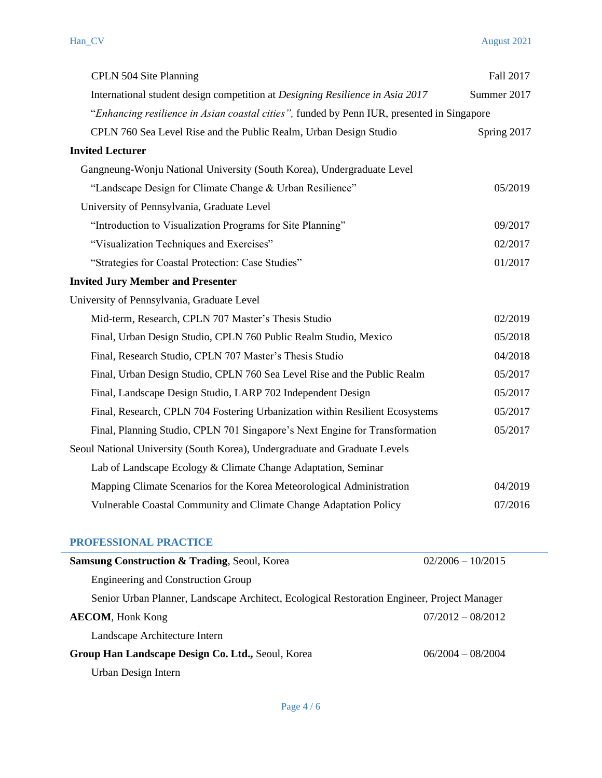| CPLN 504 Site Planning                                                                     | Fall 2017   |
|--------------------------------------------------------------------------------------------|-------------|
| International student design competition at Designing Resilience in Asia 2017              | Summer 2017 |
| "Enhancing resilience in Asian coastal cities", funded by Penn IUR, presented in Singapore |             |
| CPLN 760 Sea Level Rise and the Public Realm, Urban Design Studio                          | Spring 2017 |
| <b>Invited Lecturer</b>                                                                    |             |
| Gangneung-Wonju National University (South Korea), Undergraduate Level                     |             |
| "Landscape Design for Climate Change & Urban Resilience"                                   | 05/2019     |
| University of Pennsylvania, Graduate Level                                                 |             |
| "Introduction to Visualization Programs for Site Planning"                                 | 09/2017     |
| "Visualization Techniques and Exercises"                                                   | 02/2017     |
| "Strategies for Coastal Protection: Case Studies"                                          | 01/2017     |
| <b>Invited Jury Member and Presenter</b>                                                   |             |
| University of Pennsylvania, Graduate Level                                                 |             |
| Mid-term, Research, CPLN 707 Master's Thesis Studio                                        | 02/2019     |
| Final, Urban Design Studio, CPLN 760 Public Realm Studio, Mexico                           | 05/2018     |
| Final, Research Studio, CPLN 707 Master's Thesis Studio                                    | 04/2018     |
| Final, Urban Design Studio, CPLN 760 Sea Level Rise and the Public Realm                   | 05/2017     |
| Final, Landscape Design Studio, LARP 702 Independent Design                                | 05/2017     |
| Final, Research, CPLN 704 Fostering Urbanization within Resilient Ecosystems               | 05/2017     |
| Final, Planning Studio, CPLN 701 Singapore's Next Engine for Transformation                | 05/2017     |
| Seoul National University (South Korea), Undergraduate and Graduate Levels                 |             |
| Lab of Landscape Ecology & Climate Change Adaptation, Seminar                              |             |
| Mapping Climate Scenarios for the Korea Meteorological Administration                      | 04/2019     |
| Vulnerable Coastal Community and Climate Change Adaptation Policy                          | 07/2016     |

| PROFESSIONAL PRACTICE                                                                       |                     |
|---------------------------------------------------------------------------------------------|---------------------|
| <b>Samsung Construction &amp; Trading, Seoul, Korea</b>                                     | $02/2006 - 10/2015$ |
| <b>Engineering and Construction Group</b>                                                   |                     |
| Senior Urban Planner, Landscape Architect, Ecological Restoration Engineer, Project Manager |                     |
| <b>AECOM</b> , Honk Kong                                                                    | $07/2012 - 08/2012$ |
| Landscape Architecture Intern                                                               |                     |
| Group Han Landscape Design Co. Ltd., Seoul, Korea                                           | $06/2004 - 08/2004$ |
| Urban Design Intern                                                                         |                     |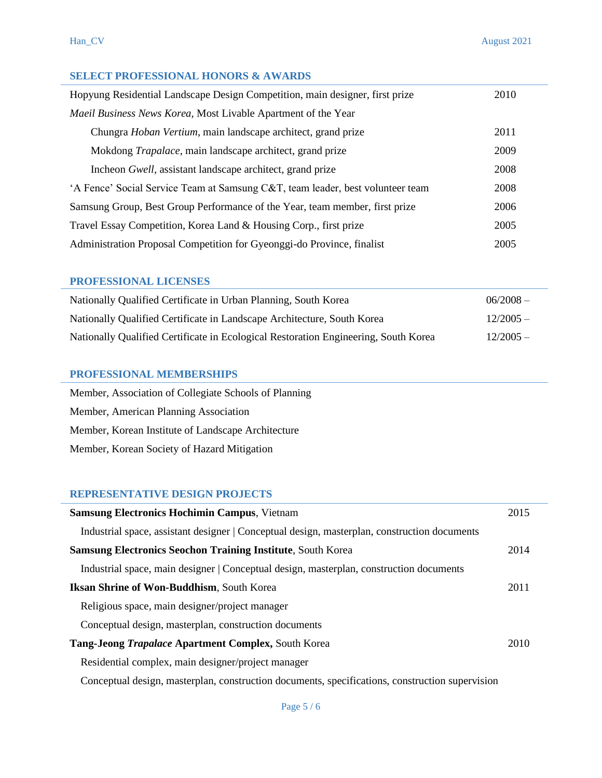# **SELECT PROFESSIONAL HONORS & AWARDS**

| Hopyung Residential Landscape Design Competition, main designer, first prize   | 2010 |
|--------------------------------------------------------------------------------|------|
| <i>Maeil Business News Korea, Most Livable Apartment of the Year</i>           |      |
| Chungra Hoban Vertium, main landscape architect, grand prize                   | 2011 |
| Mokdong <i>Trapalace</i> , main landscape architect, grand prize               | 2009 |
| Incheon Gwell, assistant landscape architect, grand prize                      | 2008 |
| 'A Fence' Social Service Team at Samsung C&T, team leader, best volunteer team | 2008 |
| Samsung Group, Best Group Performance of the Year, team member, first prize    | 2006 |
| Travel Essay Competition, Korea Land & Housing Corp., first prize              | 2005 |
| Administration Proposal Competition for Gyeonggi-do Province, finalist         | 2005 |

# **PROFESSIONAL LICENSES**

| Nationally Qualified Certificate in Urban Planning, South Korea                     | $06/2008 -$ |
|-------------------------------------------------------------------------------------|-------------|
| Nationally Qualified Certificate in Landscape Architecture, South Korea             | $12/2005 -$ |
| Nationally Qualified Certificate in Ecological Restoration Engineering, South Korea | $12/2005 -$ |

### **PROFESSIONAL MEMBERSHIPS**

| Member, Association of Collegiate Schools of Planning |
|-------------------------------------------------------|
| Member, American Planning Association                 |
| Member, Korean Institute of Landscape Architecture    |
| Member, Korean Society of Hazard Mitigation           |

# **REPRESENTATIVE DESIGN PROJECTS**

| <b>Samsung Electronics Hochimin Campus, Vietnam</b>                                             | 2015 |
|-------------------------------------------------------------------------------------------------|------|
| Industrial space, assistant designer   Conceptual design, masterplan, construction documents    |      |
| <b>Samsung Electronics Seochon Training Institute, South Korea</b>                              | 2014 |
| Industrial space, main designer   Conceptual design, masterplan, construction documents         |      |
| <b>Iksan Shrine of Won-Buddhism, South Korea</b>                                                | 2011 |
| Religious space, main designer/project manager                                                  |      |
| Conceptual design, masterplan, construction documents                                           |      |
| Tang-Jeong <i>Trapalace</i> Apartment Complex, South Korea                                      | 2010 |
| Residential complex, main designer/project manager                                              |      |
| Conceptual design, masterplan, construction documents, specifications, construction supervision |      |